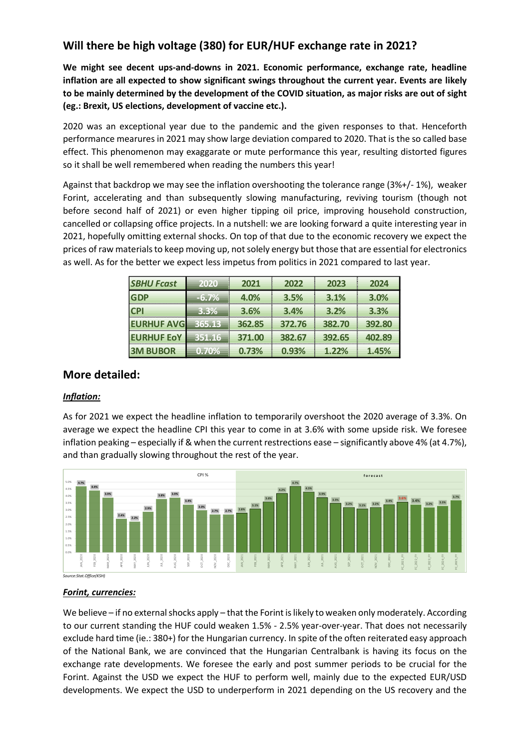# **Will there be high voltage (380) for EUR/HUF exchange rate in 2021?**

**We might see decent ups-and-downs in 2021. Economic performance, exchange rate, headline inflation are all expected to show significant swings throughout the current year. Events are likely to be mainly determined by the development of the COVID situation, as major risks are out of sight (eg.: Brexit, US elections, development of vaccine etc.).**

2020 was an exceptional year due to the pandemic and the given responses to that. Henceforth performance mearures in 2021 may show large deviation compared to 2020. That is the so called base effect. This phenomenon may exaggarate or mute performance this year, resulting distorted figures so it shall be well remembered when reading the numbers this year!

Against that backdrop we may see the inflation overshooting the tolerance range (3%+/- 1%), weaker Forint, accelerating and than subsequently slowing manufacturing, reviving tourism (though not before second half of 2021) or even higher tipping oil price, improving household construction, cancelled or collapsing office projects. In a nutshell: we are looking forward a quite interesting year in 2021, hopefully omitting external shocks. On top of that due to the economic recovery we expect the prices of raw materials to keep moving up, not solely energy but those that are essential for electronics as well. As for the better we expect less impetus from politics in 2021 compared to last year.

| <b>SBHU Fcast</b> | 2020    | 2021   | 2022   | 2023   | 2024   |
|-------------------|---------|--------|--------|--------|--------|
| GDP               | $-6.7%$ | 4.0%   | 3.5%   | 3.1%   | 3.0%   |
| <b>CPI</b>        | 3.3%    | 3.6%   | 3.4%   | 3.2%   | 3.3%   |
| <b>EURHUF AVG</b> | 365.13  | 362.85 | 372.76 | 382.70 | 392.80 |
| <b>EURHUF EoY</b> | 351.16  | 371.00 | 382.67 | 392.65 | 402.89 |
| <b>3M BUBOR</b>   | 0.70%   | 0.73%  | 0.93%  | 1.22%  | 1.45%  |

# **More detailed:**

## *Inflation:*

As for 2021 we expect the headline inflation to temporarily overshoot the 2020 average of 3.3%. On average we expect the headline CPI this year to come in at 3.6% with some upside risk. We foresee inflation peaking – especially if & when the current restrections ease – significantly above 4% (at 4.7%), and than gradually slowing throughout the rest of the year.



#### *Forint, currencies:*

We believe – if no external shocks apply – that the Forint is likely to weaken only moderately. According to our current standing the HUF could weaken 1.5% - 2.5% year-over-year. That does not necessarily exclude hard time (ie.: 380+) for the Hungarian currency. In spite of the often reiterated easy approach of the National Bank, we are convinced that the Hungarian Centralbank is having its focus on the exchange rate developments. We foresee the early and post summer periods to be crucial for the Forint. Against the USD we expect the HUF to perform well, mainly due to the expected EUR/USD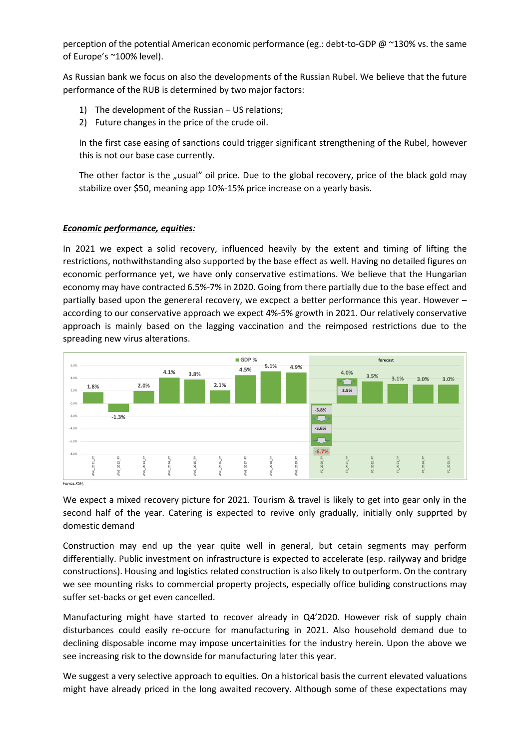perception of the potential American economic performance (eg.: debt-to-GDP @ ~130% vs. the same of Europe's ~100% level).

As Russian bank we focus on also the developments of the Russian Rubel. We believe that the future performance of the RUB is determined by two major factors:

- 1) The development of the Russian US relations;
- 2) Future changes in the price of the crude oil.

In the first case easing of sanctions could trigger significant strengthening of the Rubel, however this is not our base case currently.

The other factor is the "usual" oil price. Due to the global recovery, price of the black gold may stabilize over \$50, meaning app 10%-15% price increase on a yearly basis.

#### *Economic performance, equities:*

In 2021 we expect a solid recovery, influenced heavily by the extent and timing of lifting the restrictions, nothwithstanding also supported by the base effect as well. Having no detailed figures on economic performance yet, we have only conservative estimations. We believe that the Hungarian economy may have contracted 6.5%-7% in 2020. Going from there partially due to the base effect and partially based upon the genereral recovery, we excpect a better performance this year. However – according to our conservative approach we expect 4%-5% growth in 2021. Our relatively conservative approach is mainly based on the lagging vaccination and the reimposed restrictions due to the spreading new virus alterations.



We expect a mixed recovery picture for 2021. Tourism & travel is likely to get into gear only in the second half of the year. Catering is expected to revive only gradually, initially only supprted by domestic demand

Construction may end up the year quite well in general, but cetain segments may perform differentially. Public investment on infrastructure is expected to accelerate (esp. railyway and bridge constructions). Housing and logistics related construction is also likely to outperform. On the contrary we see mounting risks to commercial property projects, especially office buliding constructions may suffer set-backs or get even cancelled.

Manufacturing might have started to recover already in Q4'2020. However risk of supply chain disturbances could easily re-occure for manufacturing in 2021. Also household demand due to declining disposable income may impose uncertainities for the industry herein. Upon the above we see increasing risk to the downside for manufacturing later this year.

We suggest a very selective approach to equities. On a historical basis the current elevated valuations might have already priced in the long awaited recovery. Although some of these expectations may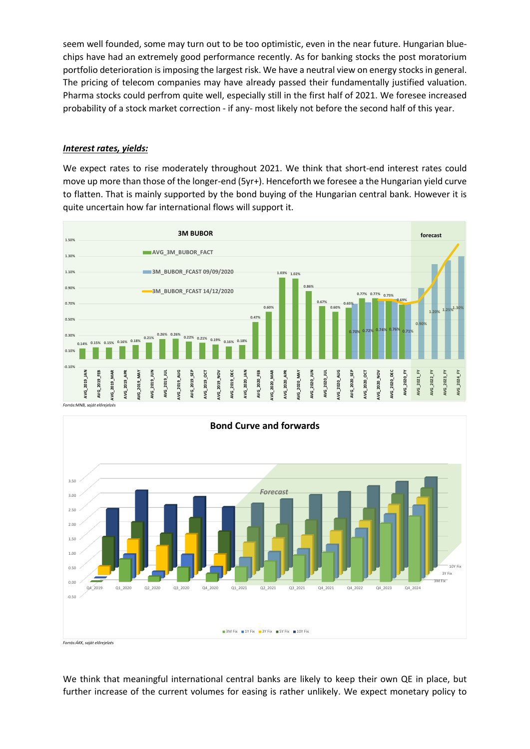seem well founded, some may turn out to be too optimistic, even in the near future. Hungarian bluechips have had an extremely good performance recently. As for banking stocks the post moratorium portfolio deterioration is imposing the largest risk. We have a neutral view on energy stocks in general. The pricing of telecom companies may have already passed their fundamentally justified valuation. Pharma stocks could perfrom quite well, especially still in the first half of 2021. We foresee increased probability of a stock market correction - if any- most likely not before the second half of this year.

### *Interest rates, yields:*

We expect rates to rise moderately throughout 2021. We think that short-end interest rates could move up more than those of the longer-end (5yr+). Henceforth we foresee a the Hungarian yield curve to flatten. That is mainly supported by the bond buying of the Hungarian central bank. However it is quite uncertain how far international flows will support it.





*Forrás:ÁKK, saját előrejelzés*

We think that meaningful international central banks are likely to keep their own QE in place, but further increase of the current volumes for easing is rather unlikely. We expect monetary policy to